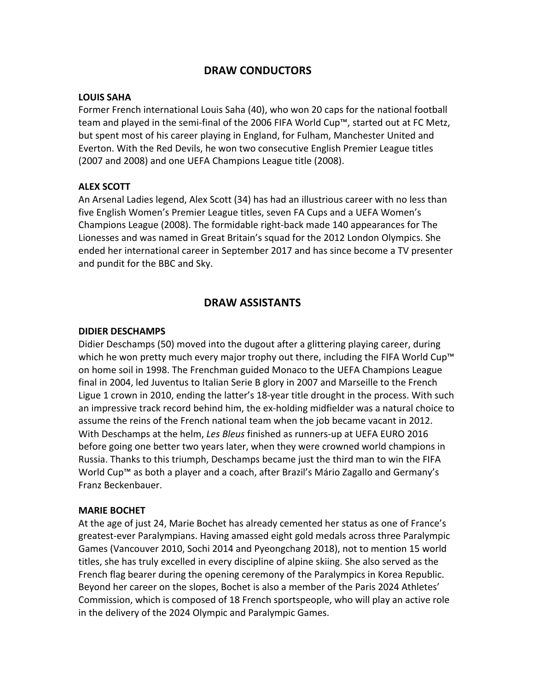# **DRAW CONDUCTORS**

### **LOUIS SAHA**

Former French international Louis Saha (40), who won 20 caps for the national football team and played in the semi-final of the 2006 FIFA World Cup™, started out at FC Metz, but spent most of his career playing in England, for Fulham, Manchester United and Everton. With the Red Devils, he won two consecutive English Premier League titles (2007 and 2008) and one UEFA Champions League title (2008).

## **ALEX SCOTT**

An Arsenal Ladies legend, Alex Scott (34) has had an illustrious career with no less than five English Women's Premier League titles, seven FA Cups and a UEFA Women's Champions League (2008). The formidable right-back made 140 appearances for The Lionesses and was named in Great Britain's squad for the 2012 London Olympics. She ended her international career in September 2017 and has since become a TV presenter and pundit for the BBC and Sky.

# **DRAW ASSISTANTS**

## **DIDIER DESCHAMPS**

Didier Deschamps (50) moved into the dugout after a glittering playing career, during which he won pretty much every major trophy out there, including the FIFA World Cup<sup> $m$ </sup> on home soil in 1998. The Frenchman guided Monaco to the UEFA Champions League final in 2004, led Juventus to Italian Serie B glory in 2007 and Marseille to the French Ligue 1 crown in 2010, ending the latter's 18-year title drought in the process. With such an impressive track record behind him, the ex-holding midfielder was a natural choice to assume the reins of the French national team when the job became vacant in 2012. With Deschamps at the helm, *Les Bleus* finished as runners-up at UEFA EURO 2016 before going one better two years later, when they were crowned world champions in Russia. Thanks to this triumph, Deschamps became just the third man to win the FIFA World Cup™ as both a player and a coach, after Brazil's Mário Zagallo and Germany's Franz Beckenbauer.

## **MARIE BOCHET**

At the age of just 24, Marie Bochet has already cemented her status as one of France's greatest-ever Paralympians. Having amassed eight gold medals across three Paralympic Games (Vancouver 2010, Sochi 2014 and Pyeongchang 2018), not to mention 15 world titles, she has truly excelled in every discipline of alpine skiing. She also served as the French flag bearer during the opening ceremony of the Paralympics in Korea Republic. Beyond her career on the slopes, Bochet is also a member of the Paris 2024 Athletes' Commission, which is composed of 18 French sportspeople, who will play an active role in the delivery of the 2024 Olympic and Paralympic Games.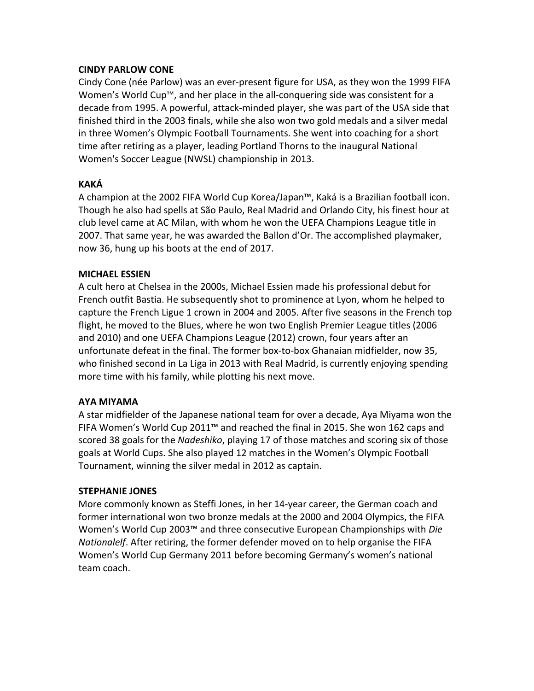## **CINDY PARLOW CONE**

Cindy Cone (née Parlow) was an ever-present figure for USA, as they won the 1999 FIFA Women's World Cup™, and her place in the all-conquering side was consistent for a decade from 1995. A powerful, attack-minded player, she was part of the USA side that finished third in the 2003 finals, while she also won two gold medals and a silver medal in three Women's Olympic Football Tournaments. She went into coaching for a short time after retiring as a player, leading Portland Thorns to the inaugural National Women's Soccer League (NWSL) championship in 2013.

## **KAKÁ**

A champion at the 2002 FIFA World Cup Korea/Japan™, Kaká is a Brazilian football icon. Though he also had spells at São Paulo, Real Madrid and Orlando City, his finest hour at club level came at AC Milan, with whom he won the UEFA Champions League title in 2007. That same year, he was awarded the Ballon d'Or. The accomplished playmaker, now 36, hung up his boots at the end of 2017.

## **MICHAEL ESSIEN**

A cult hero at Chelsea in the 2000s, Michael Essien made his professional debut for French outfit Bastia. He subsequently shot to prominence at Lyon, whom he helped to capture the French Ligue 1 crown in 2004 and 2005. After five seasons in the French top flight, he moved to the Blues, where he won two English Premier League titles (2006) and 2010) and one UEFA Champions League (2012) crown, four years after an unfortunate defeat in the final. The former box-to-box Ghanaian midfielder, now 35, who finished second in La Liga in 2013 with Real Madrid, is currently enjoying spending more time with his family, while plotting his next move.

## **AYA MIYAMA**

A star midfielder of the Japanese national team for over a decade, Aya Miyama won the FIFA Women's World Cup 2011™ and reached the final in 2015. She won 162 caps and scored 38 goals for the *Nadeshiko*, playing 17 of those matches and scoring six of those goals at World Cups. She also played 12 matches in the Women's Olympic Football Tournament, winning the silver medal in 2012 as captain.

## **STEPHANIE JONES**

More commonly known as Steffi Jones, in her 14-year career, the German coach and former international won two bronze medals at the 2000 and 2004 Olympics, the FIFA Women's World Cup 2003™ and three consecutive European Championships with *Die Nationalelf.* After retiring, the former defender moved on to help organise the FIFA Women's World Cup Germany 2011 before becoming Germany's women's national team coach.